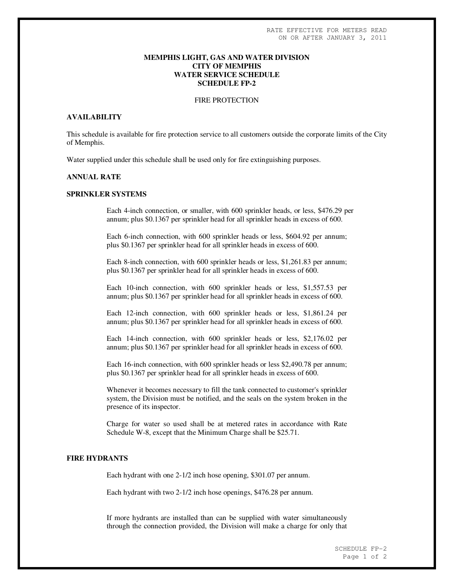# **MEMPHIS LIGHT, GAS AND WATER DIVISION CITY OF MEMPHIS WATER SERVICE SCHEDULE SCHEDULE FP-2**

# FIRE PROTECTION

#### **AVAILABILITY**

This schedule is available for fire protection service to all customers outside the corporate limits of the City of Memphis.

Water supplied under this schedule shall be used only for fire extinguishing purposes.

# **ANNUAL RATE**

### **SPRINKLER SYSTEMS**

Each 4-inch connection, or smaller, with 600 sprinkler heads, or less, \$476.29 per annum; plus \$0.1367 per sprinkler head for all sprinkler heads in excess of 600.

Each 6-inch connection, with 600 sprinkler heads or less, \$604.92 per annum; plus \$0.1367 per sprinkler head for all sprinkler heads in excess of 600.

Each 8-inch connection, with 600 sprinkler heads or less, \$1,261.83 per annum; plus \$0.1367 per sprinkler head for all sprinkler heads in excess of 600.

Each 10-inch connection, with 600 sprinkler heads or less, \$1,557.53 per annum; plus \$0.1367 per sprinkler head for all sprinkler heads in excess of 600.

Each 12-inch connection, with 600 sprinkler heads or less, \$1,861.24 per annum; plus \$0.1367 per sprinkler head for all sprinkler heads in excess of 600.

Each 14-inch connection, with 600 sprinkler heads or less, \$2,176.02 per annum; plus \$0.1367 per sprinkler head for all sprinkler heads in excess of 600.

Each 16-inch connection, with 600 sprinkler heads or less \$2,490.78 per annum; plus \$0.1367 per sprinkler head for all sprinkler heads in excess of 600.

Whenever it becomes necessary to fill the tank connected to customer's sprinkler system, the Division must be notified, and the seals on the system broken in the presence of its inspector.

Charge for water so used shall be at metered rates in accordance with Rate Schedule W-8, except that the Minimum Charge shall be \$25.71.

# **FIRE HYDRANTS**

Each hydrant with one 2-1/2 inch hose opening, \$301.07 per annum.

Each hydrant with two 2-1/2 inch hose openings, \$476.28 per annum.

If more hydrants are installed than can be supplied with water simultaneously through the connection provided, the Division will make a charge for only that